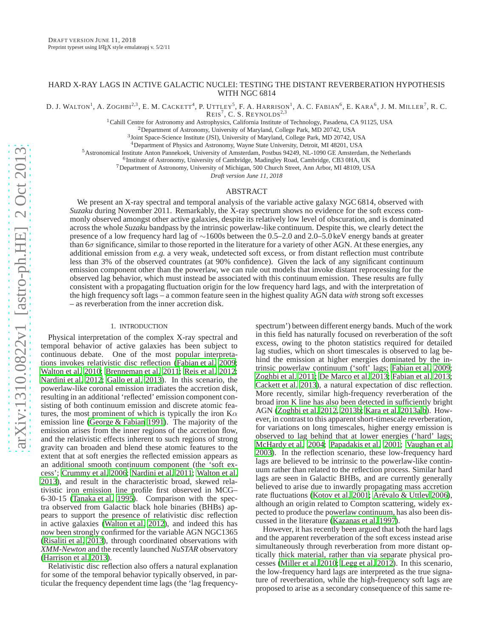# HARD X-RAY LAGS IN ACTIVE GALACTIC NUCLEI: TESTING THE DISTANT REVERBERATION HYPOTHESIS WITH NGC 6814

D. J. WALTON<sup>1</sup>, A. ZOGHBI<sup>2,3</sup>, E. M. CACKETT<sup>4</sup>, P. UTTLEY<sup>5</sup>, F. A. HARRISON<sup>1</sup>, A. C. FABIAN<sup>6</sup>, E. KARA<sup>6</sup>, J. M. MILLER<sup>7</sup>, R. C.  $REIS<sup>7</sup>$ , C. S. REYNOLDS<sup>2,3</sup>

<sup>1</sup>Cahill Centre for Astronomy and Astrophysics, California Institute of Technology, Pasadena, CA 91125, USA

<sup>2</sup>Department of Astronomy, University of Maryland, College Park, MD 20742, USA

3 Joint Space-Science Institute (JSI), University of Maryland, College Park, MD 20742, USA

<sup>4</sup>Department of Physics and Astronomy, Wayne State University, Detroit, MI 48201, USA

<sup>5</sup>Astronomical Institute Anton Pannekoek, University of Amsterdam, Postbus 94249, NL-1090 GE Amsterdam, the Netherlands

6 Institute of Astronomy, University of Cambridge, Madingley Road, Cambridge, CB3 0HA, UK

<sup>7</sup>Department of Astronomy, University of Michigan, 500 Church Street, Ann Arbor, MI 48109, USA

*Draft version June 11, 2018*

## ABSTRACT

We present an X-ray spectral and temporal analysis of the variable active galaxy NGC 6814, observed with *Suzaku* during November 2011. Remarkably, the X-ray spectrum shows no evidence for the soft excess commonly observed amongst other active galaxies, despite its relatively low level of obscuration, and is dominated across the whole *Suzaku* bandpass by the intrinsic powerlaw-like continuum. Despite this, we clearly detect the presence of a low frequency hard lag of ∼1600s between the 0.5–2.0 and 2.0–5.0 keV energy bands at greater than  $6\sigma$  significance, similar to those reported in the literature for a variety of other AGN. At these energies, any additional emission from *e.g.* a very weak, undetected soft excess, or from distant reflection must contribute less than 3% of the observed countrates (at 90% confidence). Given the lack of any significant continuum emission component other than the powerlaw, we can rule out models that invoke distant reprocessing for the observed lag behavior, which must instead be associated with this continuum emission. These results are fully consistent with a propagating fluctuation origin for the low frequency hard lags, and with the interpretation of the high frequency soft lags – a common feature seen in the highest quality AGN data *with* strong soft excesses – as reverberation from the inner accretion disk.

### 1. INTRODUCTION

Physical interpretation of the complex X-ray spectral and temporal behavior of active galaxies has been subject to continuous debate. One of the most popular interpretations invokes relativistic disc reflection [\(Fabian et al. 2009;](#page-4-0) [Walton et al. 2010;](#page-5-0) [Brenneman et al. 2011;](#page-4-1) [Reis et al. 2012;](#page-4-2) [Nardini et al. 2012;](#page-4-3) [Gallo et al. 2013\)](#page-4-4). In this scenario, the powerlaw-like coronal emission irradiates the accretion disk, resulting in an additional 'reflected' emission component consisting of both continuum emission and discrete atomic features, the most prominent of which is typically the iron  $K\alpha$ emission line [\(George & Fabian 1991\)](#page-4-5). The majority of the emission arises from the inner regions of the accretion flow, and the relativistic effects inherent to such regions of strong gravity can broaden and blend these atomic features to the extent that at soft energies the reflected emission appears as an additional smooth continuum component (the 'soft excess'; [Crummy et al. 2006;](#page-4-6) [Nardini et al. 2011;](#page-4-7) [Walton et al.](#page-4-8) [2013\)](#page-4-8), and result in the characteristic broad, skewed relativistic iron emission line profile first observed in MCG– 6-30-15 [\(Tanaka et al. 1995\)](#page-4-9). Comparison with the spectra observed from Galactic black hole binaries (BHBs) appears to support the presence of relativistic disc reflection in active galaxies [\(Walton et al. 2012](#page-4-10)), and indeed this has now been strongly confirmed for the variable AGN NGC1365 [\(Risaliti et al. 2013\)](#page-4-11), through coordinated observations with *XMM-Newton* and the recently launched *NuSTAR* observatory [\(Harrison et al. 2013](#page-4-12)).

Relativistic disc reflection also offers a natural explanation for some of the temporal behavior typically observed, in particular the frequency dependent time lags (the 'lag frequency-

spectrum') between different energy bands. Much of the work in this field has naturally focused on reverberation of the soft excess, owing to the photon statistics required for detailed lag studies, which on short timescales is observed to lag behind the emission at higher energies dominated by the intrinsic powerlaw continuum ('soft' lags; [Fabian et al. 2009](#page-4-0); [Zoghbi et al. 2011](#page-5-1); [De Marco et al. 2013;](#page-4-13) [Fabian et al. 2013](#page-4-14); [Cackett et al. 2013](#page-4-15)), a natural expectation of disc reflection. More recently, similar high-frequency reverberation of the broad iron K line has also been detected in sufficiently bright AGN [\(Zoghbi et al. 2012](#page-5-2), [2013b;](#page-5-3) [Kara et al. 2013a](#page-4-16)[,b\)](#page-4-17). However, in contrast to this apparent short-timescale reverberation, for variations on long timescales, higher energy emission is observed to lag behind that at lower energies ('hard' lags; [McHardy et al. 2004;](#page-4-18) [Papadakis et al. 2001;](#page-4-19) [Vaughan et al.](#page-4-20) [2003\)](#page-4-20). In the reflection scenario, these low-frequency hard lags are believed to be intrinsic to the powerlaw-like continuum rather than related to the reflection process. Similar hard lags are seen in Galactic BHBs, and are currently generally believed to arise due to inwardly propagating mass accretion rate fluctuations [\(Kotov et al. 2001;](#page-4-21) Arévalo & Uttley 2006), although an origin related to Compton scattering, widely expected to produce the powerlaw continuum, has also been discussed in the literature [\(Kazanas et al. 1997\)](#page-4-23).

However, it has recently been argued that both the hard lags and the apparent reverberation of the soft excess instead arise simultaneously through reverberation from more distant optically thick material, rather than via separate physical processes [\(Miller et al. 2010;](#page-4-24) [Legg et al. 2012\)](#page-4-25). In this scenario, the low-frequency hard lags are interpreted as the true signature of reverberation, while the high-frequency soft lags are proposed to arise as a secondary consequence of this same re-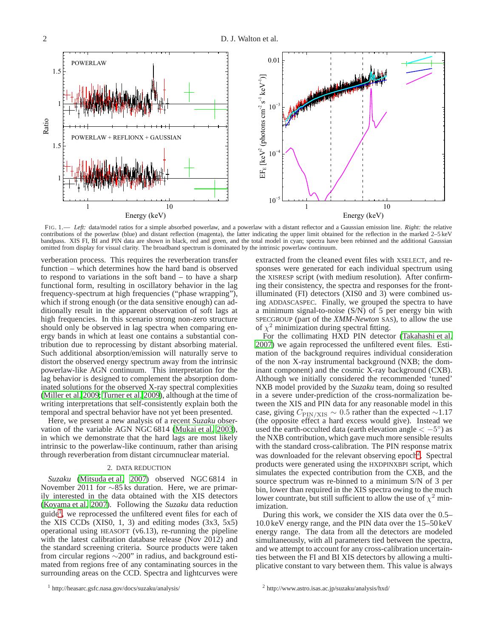$\mathbb{R}^3$ άo POWERLAW  $\mathbf 1$  $1.5$ POWERLAW + REFLIONX + GAUSSIAN  $\mathbf{1}$  $1.5$ Energy (keV)  $\frac{1}{1}$  10 ե<br>- $E$  [keV] ු $\theta$ hotons cm<sup>-2</sup> s<sup>-1</sup> keV<sup>-1</sup>)]  $10<sup>7</sup>$ 10<sup>'</sup>  $10^{-3}$  $0.01$ Energy (keV) ) )1

<span id="page-1-2"></span>FIG. 1.— *Left:* data/model ratios for a simple absorbed powerlaw, and a powerlaw with a distant reflector and a Gaussian emission line. *Right:* the relative contributions of the powerlaw (blue) and distant reflection (magenta), the latter indicating the upper limit obtained for the reflection in the marked 2–5 keV bandpass. XIS FI, BI and PIN data are shown in black, red and green, and the total model in cyan; spectra have been rebinned and the additional Gaussian omitted from display for visual clarity. The broadband spectrum is dominated by the intrinsic powerlaw continuum.

verberation process. This requires the reverberation transfer function – which determines how the hard band is observed to respond to variations in the soft band – to have a sharp functional form, resulting in oscillatory behavior in the lag frequency-spectrum at high frequencies ("phase wrapping"), which if strong enough (or the data sensitive enough) can additionally result in the apparent observation of soft lags at high frequencies. In this scenario strong non-zero structure should only be observed in lag spectra when comparing energy bands in which at least one contains a substantial contribution due to reprocessing by distant absorbing material. Such additional absorption/emission will naturally serve to distort the observed energy spectrum away from the intrinsic powerlaw-like AGN continuum. This interpretation for the lag behavior is designed to complement the absorption dominated solutions for the observed X-ray spectral complexities [\(Miller et al. 2009;](#page-4-26) [Turner et al. 2009\)](#page-4-27), although at the time of writing interpretations that self-consistently explain both the temporal and spectral behavior have not yet been presented.

Here, we present a new analysis of a recent *Suzaku* observation of the variable AGN NGC 6814 [\(Mukai et al. 2003\)](#page-4-28), in which we demonstrate that the hard lags are most likely intrinsic to the powerlaw-like continuum, rather than arising through reverberation from distant circumnuclear material.

## 2. DATA REDUCTION

*Suzaku* [\(Mitsuda et al. 2007\)](#page-4-29) observed NGC 6814 in November 2011 for ∼85 ks duration. Here, we are primarily interested in the data obtained with the XIS detectors [\(Koyama et al. 2007\)](#page-4-30). Following the *Suzaku* data reduction guide<sup>[1](#page-1-0)</sup>, we reprocessed the unfiltered event files for each of the XIS CCDs  $(XIS0, 1, 3)$  and editing modes  $(3x3, 5x5)$ operational using HEASOFT (v6.13), re-running the pipeline with the latest calibration database release (Nov 2012) and the standard screening criteria. Source products were taken from circular regions ∼200" in radius, and background estimated from regions free of any contaminating sources in the surrounding areas on the CCD. Spectra and lightcurves were

extracted from the cleaned event files with XSELECT, and responses were generated for each individual spectrum using the XISRESP script (with medium resolution). After confirming their consistency, the spectra and responses for the frontilluminated (FI) detectors (XIS0 and 3) were combined using ADDASCASPEC. Finally, we grouped the spectra to have a minimum signal-to-noise (S/N) of 5 per energy bin with SPECGROUP (part of the *XMM-Newton* SAS), to allow the use of  $\chi^2$  minimization during spectral fitting.

For the collimating HXD PIN detector [\(Takahashi et al.](#page-4-31) [2007\)](#page-4-31) we again reprocessed the unfiltered event files. Estimation of the background requires individual consideration of the non X-ray instrumental background (NXB; the dominant component) and the cosmic X-ray background (CXB). Although we initially considered the recommended 'tuned' NXB model provided by the *Suzaku* team, doing so resulted in a severe under-prediction of the cross-normalization between the XIS and PIN data for any reasonable model in this case, giving  $C_{\text{PIN/XIS}} \sim 0.5$  rather than the expected ~1.17 (the opposite effect a hard excess would give). Instead we used the earth-occulted data (earth elevation angle  $\lt -5^{\circ}$ ) as the NXB contribution, which gave much more sensible results with the standard cross-calibration. The PIN response matrix was downloaded for the relevant observing epoch<sup>[2](#page-1-1)</sup>. Spectral products were generated using the HXDPINXBPI script, which simulates the expected contribution from the CXB, and the source spectrum was re-binned to a minimum S/N of 3 per bin, lower than required in the XIS spectra owing to the much lower countrate, but still sufficient to allow the use of  $\chi^2$  minimization.

During this work, we consider the XIS data over the 0.5– 10.0 keV energy range, and the PIN data over the 15–50 keV energy range. The data from all the detectors are modeled simultaneously, with all parameters tied between the spectra, and we attempt to account for any cross-calibration uncertainties between the FI and BI XIS detectors by allowing a multiplicative constant to vary between them. This value is always

<span id="page-1-0"></span><sup>1</sup> http://heasarc.gsfc.nasa.gov/docs/suzaku/analysis/

<span id="page-1-1"></span><sup>2</sup> http://www.astro.isas.ac.jp/suzaku/analysis/hxd/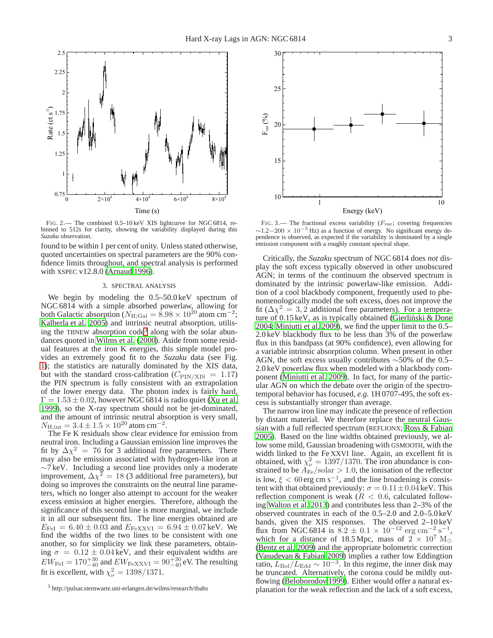

<span id="page-2-1"></span>FIG. 2.— The combined 0.5–10 keV XIS lightcurve for NGC 6814, rebinned to 512s for clarity, showing the variability displayed during this *Suzaku* observation.

found to be within 1 per cent of unity. Unless stated otherwise, quoted uncertainties on spectral parameters are the 90% confidence limits throughout, and spectral analysis is performed with XSPEC v12.8.0 [\(Arnaud 1996](#page-4-32)).

### 3. SPECTRAL ANALYSIS

We begin by modeling the  $0.5-50.0 \,\text{keV}$  spectrum of NGC 6814 with a simple absorbed powerlaw, allowing for both Galactic absorption ( $N_{\text{H;Gal}} = 8.98 \times 10^{20}$  atom cm<sup>-2</sup>; [Kalberla et al. 2005\)](#page-4-33) and intrinsic neutral absorption, utilis-ing the TBNEW absorption code<sup>[3](#page-2-0)</sup> along with the solar abundances quoted in [Wilms et al. \(2000](#page-5-4)). Aside from some residual features at the iron K energies, this simple model provides an extremely good fit to the *Suzaku* data (see Fig. [1\)](#page-1-2); the statistics are naturally dominated by the XIS data, but with the standard cross-calibration ( $C_{\text{PIN/XIS}} = 1.17$ ) the PIN spectrum is fully consistent with an extrapolation of the lower energy data. The photon index is fairly hard,  $\Gamma = 1.53 \pm 0.02$ , however NGC 6814 is radio quiet [\(Xu et al.](#page-5-5) [1999\)](#page-5-5), so the X-ray spectrum should not be jet-dominated, and the amount of intrinsic neutral absorption is very small,  $N_{\text{H;int}} = 3.4 \pm 1.5 \times 10^{20}$  atom cm<sup>-2</sup>.

The Fe K residuals show clear evidence for emission from neutral iron. Including a Gaussian emission line improves the fit by  $\Delta \chi^2 = 76$  for 3 additional free parameters. There may also be emission associated with hydrogen-like iron at  $\sim$ 7 keV. Including a second line provides only a moderate improvement,  $\Delta \chi^2 = 18$  (3 additional free parameters), but doing so improves the constraints on the neutral line parameters, which no longer also attempt to account for the weaker excess emission at higher energies. Therefore, although the significance of this second line is more marginal, we include it in all our subsequent fits. The line energies obtained are  $E_{\text{FeI}} = 6.40 \pm 0.03$  and  $E_{\text{FeXXVI}} = 6.94 \pm 0.07 \text{ keV}$ . We find the widths of the two lines to be consistent with one another, so for simplicity we link these parameters, obtaining  $\sigma = 0.12 \pm 0.04 \,\text{keV}$ , and their equivalent widths are  $EW_{\rm FeI} = 170^{+30}_{-40}$  and  $EW_{\rm FeXXVI} = 90^{+30}_{-40}$  eV. The resulting fit is excellent, with  $\chi^2_{\nu} = 1398/1371$ .



<span id="page-2-2"></span>FIG. 3.— The fractional excess variability  $(F_{\text{var}};$  covering frequencies  $\sim$ 1.2−200 × 10<sup>-5</sup> Hz) as a function of energy. No significant energy dependence is observed, as expected if the variability is dominated by a single emission component with a roughly constant spectral shape.

Critically, the *Suzaku* spectrum of NGC 6814 does *not* display the soft excess typically observed in other unobscured AGN; in terms of the continuum the observed spectrum is dominated by the intrinsic powerlaw-like emission. Addition of a cool blackbody component, frequently used to phenomenologically model the soft excess, does not improve the fit ( $\Delta \chi^2 = 3, 2$  additional free parameters). For a temperature of  $0.15 \text{ keV}$ , as is typically obtained (Gierliński & Done [2004;](#page-4-34) [Miniutti et al. 2009\)](#page-4-35), we find the upper limit to the 0.5– 2.0 keV blackbody flux to be less than 3% of the powerlaw flux in this bandpass (at 90% confidence), even allowing for a variable intrinsic absorption column. When present in other AGN, the soft excess usually contributes  $\sim$ 50% of the 0.5– 2.0 keV powerlaw flux when modeled with a blackbody component [\(Miniutti et al. 2009\)](#page-4-35). In fact, for many of the particular AGN on which the debate over the origin of the spectrotemporal behavior has focused, *e.g.* 1H 0707-495, the soft excess is substantially stronger than average.

The narrow iron line may indicate the presence of reflection by distant material. We therefore replace the neutral Gaussian with a full reflected spectrum (REFLIONX; [Ross & Fabian](#page-4-36) [2005\)](#page-4-36). Based on the line widths obtained previously, we allow some mild, Gaussian broadening with GSMOOTH, with the width linked to the Fe XXVI line. Again, an excellent fit is obtained, with  $\chi^2_{\nu} = 1397/1370$ . The iron abundance is constrained to be  $A_{\rm Fe}/\rm solar > 1.0,$  the ionisation of the reflector is low,  $\xi < 60$  erg cm s<sup>-1</sup>, and the line broadening is consistent with that obtained previously:  $\sigma = 0.11 \pm 0.04 \,\text{keV}$ . This reflection component is weak ( $R < 0.6$ , calculated following [Walton et al. 2013\)](#page-4-8) and contributes less than 2–3% of the observed countrates in each of the 0.5–2.0 and 2.0–5.0 keV bands, given the XIS responses. The observed 2–10 keV flux from NGC 6814 is  $8.2 \pm 0.1 \times 10^{-12}$  erg cm<sup>-2</sup> s<sup>-1</sup>, which for a distance of 18.5 Mpc, mass of  $2 \times 10^7$  M<sub>☉</sub> [\(Bentz et al. 2009\)](#page-4-37) and the appropriate bolometric correction [\(Vasudevan & Fabian 2009\)](#page-4-38) implies a rather low Eddingtion ratio,  $L_{\text{Bol}}/L_{\text{Edd}} \sim 10^{-3}$ . In this regime, the inner disk may be truncated. Alternatively, the corona could be mildly outflowing [\(Beloborodov 1999\)](#page-4-39). Either would offer a natural explanation for the weak reflection and the lack of a soft excess,

<span id="page-2-0"></span><sup>3</sup> http://pulsar.sternwarte.uni-erlangen.de/wilms/research/tbabs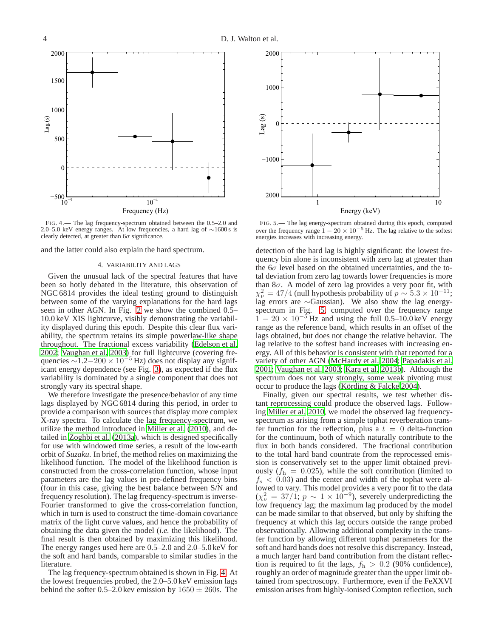

<span id="page-3-0"></span>FIG. 4.— The lag frequency-spectrum obtained between the 0.5–2.0 and 2.0–5.0 keV energy ranges. At low frequencies, a hard lag of ∼1600 s is clearly detected, at greater than  $6\sigma$  significance.

and the latter could also explain the hard spectrum.

### 4. VARIABILITY AND LAGS

Given the unusual lack of the spectral features that have been so hotly debated in the literature, this observation of NGC 6814 provides the ideal testing ground to distinguish between some of the varying explanations for the hard lags seen in other AGN. In Fig. [2](#page-2-1) we show the combined 0.5– 10.0 keV XIS lightcurve, visibly demonstrating the variability displayed during this epoch. Despite this clear flux variability, the spectrum retains its simple powerlaw-like shape throughout. The fractional excess variability [\(Edelson et](#page-4-40) al. [2002;](#page-4-40) [Vaughan et al. 2003\)](#page-4-20) for full lightcurve (covering frequencies  $\sim$ 1.2−200 × 10<sup>-5</sup> Hz) does not display any significant energy dependence (see Fig. [3\)](#page-2-2), as expected if the flux variability is dominated by a single component that does not strongly vary its spectral shape.

We therefore investigate the presence/behavior of any time lags displayed by NGC 6814 during this period, in order to provide a comparison with sources that display more complex X-ray spectra. To calculate the lag frequency-spectrum, we utilize the method introduced in [Miller et al. \(2010](#page-4-24)), and detailed in [Zoghbi et al.](#page-5-6) [\(2013a\)](#page-5-6), which is designed specifically for use with windowed time series, a result of the low-earth orbit of *Suzaku*. In brief, the method relies on maximizing the likelihood function. The model of the likelihood function is constructed from the cross-correlation function, whose input parameters are the lag values in pre-defined frequency bins (four in this case, giving the best balance between S/N and frequency resolution). The lag frequency-spectrum is inverse-Fourier transformed to give the cross-correlation function, which in turn is used to construct the time-domain covariance matrix of the light curve values, and hence the probability of obtaining the data given the model (*i.e.* the likelihood). The final result is then obtained by maximizing this likelihood. The energy ranges used here are 0.5–2.0 and 2.0–5.0 keV for the soft and hard bands, comparable to similar studies in the literature.

The lag frequency-spectrum obtained is shown in Fig. [4.](#page-3-0) At the lowest frequencies probed, the 2.0–5.0 keV emission lags behind the softer 0.5–2.0 kev emission by  $1650 \pm 260$  s. The



<span id="page-3-1"></span>FIG. 5.— The lag energy-spectrum obtained during this epoch, computed over the frequency range  $1 - 20 \times 10^{-5}$  Hz. The lag relative to the softest energies increases with increasing energy.

detection of the hard lag is highly significant: the lowest frequency bin alone is inconsistent with zero lag at greater than the  $6\sigma$  level based on the obtained uncertainties, and the total deviation from zero lag towards lower frequencies is more than  $8\sigma$ . A model of zero lag provides a very poor fit, with  $\chi^2_{\nu} = 47/4$  (null hypothesis probability of  $p \sim 5.3 \times 10^{-11}$ ; lag errors are ∼Gaussian). We also show the lag energyspectrum in Fig. [5,](#page-3-1) computed over the frequency range  $1 - 20 \times 10^{-5}$  Hz and using the full 0.5–10.0 keV energy range as the reference band, which results in an offset of the lags obtained, but does not change the relative behavior. The lag relative to the softest band increases with increasing energy. All of this behavior is consistent with that reported for a variety of other AGN [\(McHardy et al. 2004;](#page-4-18) [Papadakis et al.](#page-4-19) [2001;](#page-4-19) [Vaughan et al. 2003](#page-4-20); [Kara et al. 2013b\)](#page-4-17). Although the spectrum does not vary strongly, some weak pivoting must occur to produce the lags (Körding  $&$  Falcke 2004).

Finally, given our spectral results, we test whether distant reprocessing could produce the observed lags. Following [Miller et al. 2010,](#page-4-24) we model the observed lag frequencyspectrum as arising from a simple tophat reverberation transfer function for the reflection, plus a  $t = 0$  delta-function for the continuum, both of which naturally contribute to the flux in both bands considered. The fractional contribution to the total hard band countrate from the reprocessed emission is conservatively set to the upper limit obtained previously  $(f<sub>h</sub> = 0.025)$ , while the soft contribution (limited to  $f<sub>s</sub> < 0.03$  and the center and width of the tophat were allowed to vary. This model provides a very poor fit to the data  $(\chi^2_{\nu} = 37/1; p \sim 1 \times 10^{-9})$ , severely underpredicting the low frequency lag; the maximum lag produced by the model can be made similar to that observed, but only by shifting the frequency at which this lag occurs outside the range probed observationally. Allowing additional complexity in the transfer function by allowing different tophat parameters for the soft and hard bands does not resolve this discrepancy. Instead, a much larger hard band contribution from the distant reflection is required to fit the lags,  $f<sub>h</sub> > 0.2$  (90% confidence), roughly an order of magnitude greater than the upper limit obtained from spectroscopy. Furthermore, even if the FeXXVI emission arises from highly-ionised Compton reflection, such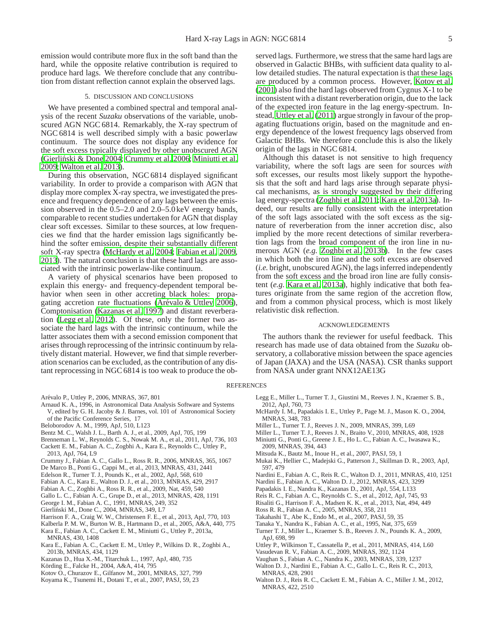emission would contribute more flux in the soft band than the hard, while the opposite relative contribution is required to produce hard lags. We therefore conclude that any contribution from distant reflection cannot explain the observed lags.

## 5. DISCUSSION AND CONCLUSIONS

We have presented a combined spectral and temporal analysis of the recent *Suzaku* observations of the variable, unobscured AGN NGC 6814. Remarkably, the X-ray spectrum of NGC 6814 is well described simply with a basic powerlaw continuum. The source does not display any evidence for the soft excess typically displayed by other unobscured AGN (Gierliński & Done 2004; [Crummy et al. 2006;](#page-4-6) [Miniutti et al.](#page-4-35) [2009;](#page-4-35) [Walton et al. 2013\)](#page-4-8).

During this observation, NGC 6814 displayed significant variability. In order to provide a comparison with AGN that display more complex X-ray spectra, we investigated the presence and frequency dependence of any lags between the emission observed in the 0.5–2.0 and 2.0–5.0 keV energy bands, comparable to recent studies undertaken for AGN that display clear soft excesses. Similar to these sources, at low frequencies we find that the harder emission lags significantly behind the softer emission, despite their substantially different soft X-ray spectra [\(McHardy et al. 2004](#page-4-18); [Fabian et al. 2009,](#page-4-0) [2013\)](#page-4-14). The natural conclusion is that these hard lags are associated with the intrinsic powerlaw-like continuum.

A variety of physical scenarios have been proposed to explain this energy- and frequency-dependent temporal behavior when seen in other accreting black holes: propagating accretion rate fluctuations (Arévalo  $&$  Uttley 2006), Comptonisation [\(Kazanas et al. 1997](#page-4-23)) and distant reverberation [\(Legg et al. 2012\)](#page-4-25). Of these, only the former two associate the hard lags with the intrinsic continuum, while the latter associates them with a second emission component that arises through reprocessing of the intrinsic continuum by relatively distant material. However, we find that simple reverberation scenarios can be excluded, as the contribution of any distant reprocessing in NGC 6814 is too weak to produce the ob-

- <span id="page-4-22"></span>Arévalo P., Uttley P., 2006, MNRAS, 367, 801
- <span id="page-4-32"></span>Arnaud K. A., 1996, in Astronomical Data Analysis Software and Systems V, edited by G. H. Jacoby & J. Barnes, vol. 101 of Astronomical Society of the Pacific Conference Series, 17
- <span id="page-4-39"></span>Beloborodov A. M., 1999, ApJ, 510, L123
- <span id="page-4-37"></span>Bentz M. C., Walsh J. L., Barth A. J., et al., 2009, ApJ, 705, 199
- <span id="page-4-1"></span>Brenneman L. W., Reynolds C. S., Nowak M. A., et al., 2011, ApJ, 736, 103
- <span id="page-4-15"></span>Cackett E. M., Fabian A. C., Zogbhi A., Kara E., Reynolds C., Uttley P., 2013, ApJ, 764, L9
- <span id="page-4-6"></span>Crummy J., Fabian A. C., Gallo L., Ross R. R., 2006, MNRAS, 365, 1067
- <span id="page-4-13"></span>De Marco B., Ponti G., Cappi M., et al., 2013, MNRAS, 431, 2441
- <span id="page-4-40"></span>Edelson R., Turner T. J., Pounds K., et al., 2002, ApJ, 568, 610
- <span id="page-4-14"></span>Fabian A. C., Kara E., Walton D. J., et al., 2013, MNRAS, 429, 2917
- <span id="page-4-0"></span>Fabian A. C., Zoghbi A., Ross R. R., et al., 2009, Nat, 459, 540
- <span id="page-4-4"></span>Gallo L. C., Fabian A. C., Grupe D., et al., 2013, MNRAS, 428, 1191
- <span id="page-4-5"></span>George I. M., Fabian A. C., 1991, MNRAS, 249, 352
- <span id="page-4-34"></span>Gierliński M., Done C., 2004, MNRAS, 349, L7
- <span id="page-4-12"></span>Harrison F. A., Craig W. W., Christensen F. E., et al., 2013, ApJ, 770, 103
- <span id="page-4-33"></span>Kalberla P. M. W., Burton W. B., Hartmann D., et al., 2005, A&A, 440, 775
- <span id="page-4-16"></span>Kara E., Fabian A. C., Cackett E. M., Miniutti G., Uttley P., 2013a, MNRAS, 430, 1408
- <span id="page-4-17"></span>Kara E., Fabian A. C., Cackett E. M., Uttley P., Wilkins D. R., Zoghbi A., 2013b, MNRAS, 434, 1129
- <span id="page-4-23"></span>Kazanas D., Hua X.-M., Titarchuk L., 1997, ApJ, 480, 735
- <span id="page-4-41"></span>Körding E., Falcke H., 2004, A&A, 414, 795
- <span id="page-4-21"></span>Kotov O., Churazov E., Gilfanov M., 2001, MNRAS, 327, 799
- <span id="page-4-30"></span>Koyama K., Tsunemi H., Dotani T., et al., 2007, PASJ, 59, 23

served lags. Furthermore, we stress that the same hard lags are observed in Galactic BHBs, with sufficient data quality to allow detailed studies. The natural expectation is that these lags are produced by a common process. However, [Kotov et al.](#page-4-21) [\(2001\)](#page-4-21) also find the hard lags observed from Cygnus X-1 to be inconsistent with a distant reverberation origin, due to the lack of the expected iron feature in the lag energy-spectrum. Instead, [Uttley et al.](#page-4-42) [\(2011\)](#page-4-42) argue strongly in favour of the propagating fluctuations origin, based on the magnitude and energy dependence of the lowest frequency lags observed from Galactic BHBs. We therefore conclude this is also the likely origin of the lags in NGC 6814.

Although this dataset is not sensitive to high frequency variability, where the soft lags are seen for sources *with* soft excesses, our results most likely support the hypothesis that the soft and hard lags arise through separate physical mechanisms, as is strongly suggested by their differing lag energy-spectra [\(Zoghbi et al. 2011;](#page-5-1) [Kara et al. 2013a\)](#page-4-16). Indeed, our results are fully consistent with the interpretation of the soft lags associated with the soft excess as the signature of reverberation from the inner accretion disc, also implied by the more recent detections of similar reverberation lags from the broad component of the iron line in numerous AGN (*e.g.* [Zoghbi et al. 2013b\)](#page-5-3). In the few cases in which both the iron line and the soft excess are observed (*i.e.* bright, unobscured AGN), the lags inferred independently from the soft excess and the broad iron line are fully consistent (*e.g.* [Kara et al. 2013a](#page-4-16)), highly indicative that both features originate from the same region of the accretion flow, and from a common physical process, which is most likely relativistic disk reflection.

#### ACKNOWLEDGEMENTS

The authors thank the reviewer for useful feedback. This research has made use of data obtained from the *Suzaku* observatory, a collaborative mission between the space agencies of Japan (JAXA) and the USA (NASA). CSR thanks support from NASA under grant NNX12AE13G

#### REFERENCES

- <span id="page-4-25"></span>Legg E., Miller L., Turner T. J., Giustini M., Reeves J. N., Kraemer S. B., 2012, ApJ, 760, 73
- <span id="page-4-18"></span>McHardy I. M., Papadakis I. E., Uttley P., Page M. J., Mason K. O., 2004, MNRAS, 348, 783
- <span id="page-4-26"></span>Miller L., Turner T. J., Reeves J. N., 2009, MNRAS, 399, L69
- <span id="page-4-35"></span><span id="page-4-24"></span>Miller L., Turner T. J., Reeves J. N., Braito V., 2010, MNRAS, 408, 1928 Miniutti G., Ponti G., Greene J. E., Ho L. C., Fabian A. C., Iwasawa K., 2009, MNRAS, 394, 443
- <span id="page-4-29"></span>Mitsuda K., Bautz M., Inoue H., et al., 2007, PASJ, 59, 1
- <span id="page-4-28"></span>Mukai K., Hellier C., Madejski G., Patterson J., Skillman D. R., 2003, ApJ, 597, 479
- <span id="page-4-7"></span>Nardini E., Fabian A. C., Reis R. C., Walton D. J., 2011, MNRAS, 410, 1251
- <span id="page-4-3"></span>Nardini E., Fabian A. C., Walton D. J., 2012, MNRAS, 423, 3299
- <span id="page-4-19"></span>Papadakis I. E., Nandra K., Kazanas D., 2001, ApJ, 554, L133
- <span id="page-4-2"></span>Reis R. C., Fabian A. C., Reynolds C. S., et al., 2012, ApJ, 745, 93
- <span id="page-4-11"></span>Risaliti G., Harrison F. A., Madsen K. K., et al., 2013, Nat, 494, 449
- <span id="page-4-36"></span>Ross R. R., Fabian A. C., 2005, MNRAS, 358, 211
- <span id="page-4-31"></span>Takahashi T., Abe K., Endo M., et al., 2007, PASJ, 59, 35
- Tanaka Y., Nandra K., Fabian A. C., et al., 1995, Nat, 375, 659
- <span id="page-4-27"></span><span id="page-4-9"></span>Turner T. J., Miller L., Kraemer S. B., Reeves J. N., Pounds K. A., 2009,
- ApJ, 698, 99 Uttley P., Wilkinson T., Cassatella P., et al., 2011, MNRAS, 414, L60
- <span id="page-4-42"></span>
- <span id="page-4-38"></span>Vasudevan R. V., Fabian A. C., 2009, MNRAS, 392, 1124
- <span id="page-4-20"></span>Vaughan S., Fabian A. C., Nandra K., 2003, MNRAS, 339, 1237 Walton D. J., Nardini E., Fabian A. C., Gallo L. C., Reis R. C., 2013,
- <span id="page-4-8"></span>MNRAS, 428, 2901
- <span id="page-4-10"></span>Walton D. J., Reis R. C., Cackett E. M., Fabian A. C., Miller J. M., 2012, MNRAS, 422, 2510